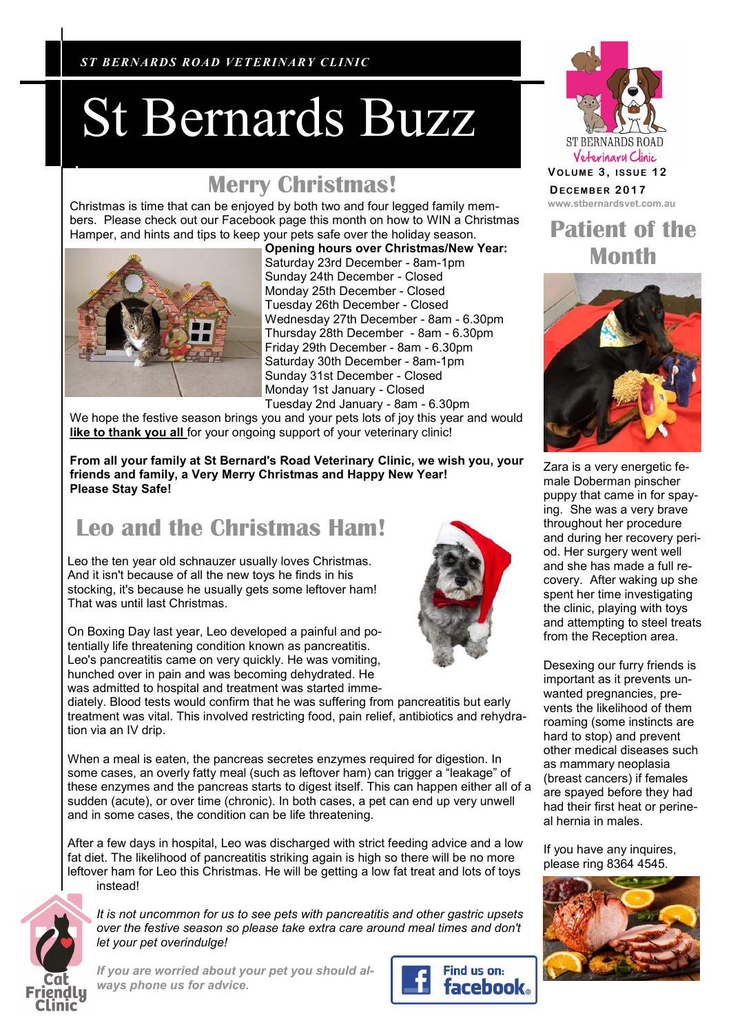*RIVAPETZ PET CARE ST BERNARDS ROAD VETERINARY CLINIC*

## St Bernards Buzz

#### **Merry Christmas! DECEMBER 2017**

Christmas is time that can be enjoyed by both two and four legged family mem- **www.stbernardsvet.com.au** bers. Please check out our Facebook page this month on how to WIN a Christmas Hamper, and hints and tips to keep your pets safe over the holiday season.



**Opening hours over Christmas/New Year:** Saturday 23rd December - 8am-1pm Sunday 24th December - Closed Monday 25th December - Closed Tuesday 26th December - Closed Wednesday 27th December - 8am - 6.30pm Thursday 28th December - 8am - 6.30pm Friday 29th December - 8am - 6.30pm Saturday 30th December - 8am-1pm Sunday 31st December - Closed Monday 1st January - Closed Tuesday 2nd January - 8am - 6.30pm

We hope the festive season brings you and your pets lots of joy this year and would like to thank you all for your ongoing support of your veterinary clinic!

**From all your family at St Bernard's Road Veterinary Clinic, we wish you, your friends and family, a Very Merry Christmas and Happy New Year! Please Stay Safe!**

### **Leo and the Christmas Ham!**

Leo the ten year old schnauzer usually loves Christmas. And it isn't because of all the new toys he finds in his stocking, it's because he usually gets some leftover ham! That was until last Christmas.

On Boxing Day last year, Leo developed a painful and potentially life threatening condition known as pancreatitis. Leo's pancreatitis came on very quickly. He was vomiting, hunched over in pain and was becoming dehydrated. He was admitted to hospital and treatment was started imme-

diately. Blood tests would confirm that he was suffering from pancreatitis but early treatment was vital. This involved restricting food, pain relief, antibiotics and rehydration via an IV drip.

When a meal is eaten, the pancreas secretes enzymes required for digestion. In some cases, an overly fatty meal (such as leftover ham) can trigger a "leakage" of these enzymes and the pancreas starts to digest itself. This can happen either all of a sudden (acute), or over time (chronic). In both cases, a pet can end up very unwell and in some cases, the condition can be life threatening.

After a few days in hospital, Leo was discharged with strict feeding advice and a low fat diet. The likelihood of pancreatitis striking again is high so there will be no more leftover ham for Leo this Christmas. He will be getting a low fat treat and lots of toys instead!



*It is not uncommon for us to see pets with pancreatitis and other gastric upsets over the festive season so please take extra care around meal times and don't let your pet overindulge!* 

*If you are worried about your pet you should always phone us for advice.*





## **Patient of the Month**



Zara is a very energetic female Doberman pinscher puppy that came in for spaying. She was a very brave throughout her procedure and during her recovery period. Her surgery went well and she has made a full recovery. After waking up she spent her time investigating the clinic, playing with toys and attempting to steel treats from the Reception area.

Desexing our furry friends is important as it prevents unwanted pregnancies, prevents the likelihood of them roaming (some instincts are hard to stop) and prevent other medical diseases such as mammary neoplasia (breast cancers) if females are spayed before they had had their first heat or perineal hernia in males.

If you have any inquires, please ring 8364 4545.